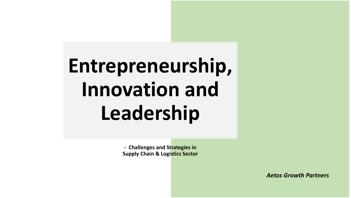# **Entrepreneurship, Innovation and Leadership**

**- Challenges and Strategies in Supply Chain & Logistics Sector**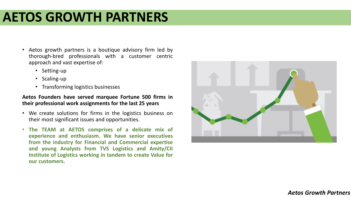### **AETOS GROWTH PARTNERS**

- Aetos growth partners is a boutique advisory firm led by thorough-bred professionals with a customer centric approach and vast expertise of:
	- Setting-up
	- Scaling-up
	- Transforming logistics businesses

#### **Aetos Founders have served marquee Fortune 500 firms in their professional work assignments for the last 25 years**

- We create solutions for firms in the logistics business on their most significant issues and opportunities.
- **The TEAM at AETOS comprises of a delicate mix of experience and enthusiasm. We have senior executives from the industry for Financial and Commercial expertise and young Analysts from TVS Logistics and Amity/CII Institute of Logistics working in tandem to create Value for our customers.**

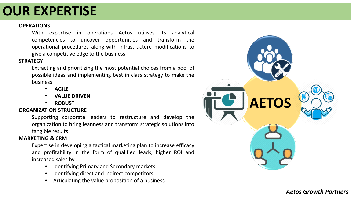### **OUR EXPERTISE**

#### **OPERATIONS**

With expertise in operations Aetos utilises its analytical competencies to uncover opportunities and transform the operational procedures along-with infrastructure modifications to give a competitive edge to the business

#### **STRATEGY**

Extracting and prioritizing the most potential choices from a pool of possible ideas and implementing best in class strategy to make the business:

- **AGILE**
- **VALUE DRIVEN**
- **ROBUST**

#### **ORGANIZATION STRUCTURE**

Supporting corporate leaders to restructure and develop the organization to bring leanness and transform strategic solutions into tangible results

#### **MARKETING & CRM**

Expertise in developing a tactical marketing plan to increase efficacy and profitability in the form of qualified leads, higher ROI and increased sales by :

- Identifying Primary and Secondary markets
- Identifying direct and indirect competitors
- Articulating the value proposition of a business

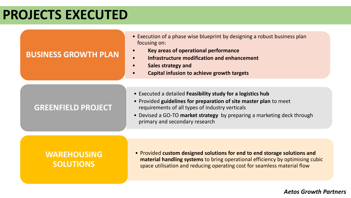### **PROJECTS EXECUTED**

### **BUSINESS GROWTH PLAN**

- Execution of a phase wise blueprint by designing a robust business plan focusing on:
- **Key areas of operational performance**
- **Infrastructure modification and enhancement**
- **Sales strategy and**
- **Capital infusion to achieve growth targets**

### **GREENFIELD PROJECT**

- Executed a detailed **Feasibility study for a logistics hub**
- Provided **guidelines for preparation of site master plan** to meet requirements of all types of industry verticals
- Devised a GO-TO **market strategy** by preparing a marketing deck through primary and secondary research

### **WAREHOUSING SOLUTIONS**

• Provided **custom designed solutions for end to end storage solutions and material handling systems** to bring operational efficiency by optimising cubic space utilisation and reducing operating cost for seamless material flow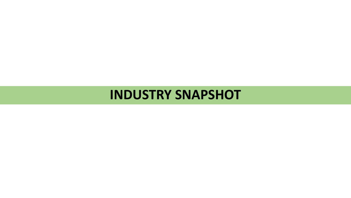### **INDUSTRY SNAPSHOT**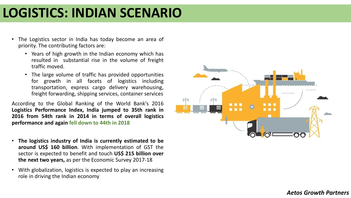### **LOGISTICS: INDIAN SCENARIO**

- The Logistics sector in India has today become an area of priority. The contributing factors are:
	- Years of high growth in the Indian economy which has resulted in substantial rise in the volume of freight traffic moved.
	- The large volume of traffic has provided opportunities for growth in all facets of logistics including transportation, express cargo delivery warehousing, freight forwarding, shipping services, container services

According to the Global Ranking of the World Bank's 2016 **Logistics Performance Index, India jumped to 35th rank in 2016 from 54th rank in 2014 in terms of overall logistics performance and again fell down to 44th in 2018**

- **The logistics industry of India is currently estimated to be around US\$ 160 billion**. With implementation of GST the sector is expected to benefit and touch **US\$ 215 billion over the next two years,** as per the Economic Survey 2017-18
- With globalization, logistics is expected to play an increasing role in driving the Indian economy

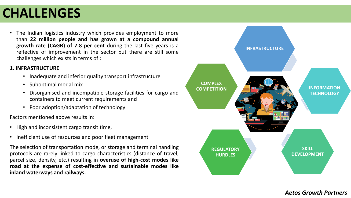# **CHALLENGES**

The Indian logistics industry which provides employment to more than **22 million people and has grown at a compound annual growth rate (CAGR) of 7.8 per cent** during the last five years is a reflective of improvement in the sector but there are still some challenges which exists in terms of :

#### **1. INFRASTRUCTURE**

- Inadequate and inferior quality transport infrastructure
- Suboptimal modal mix
- Disorganised and incompatible storage facilities for cargo and containers to meet current requirements and
- Poor adoption/adaptation of technology

Factors mentioned above results in:

- High and inconsistent cargo transit time,
- Inefficient use of resources and poor fleet management

The selection of transportation mode, or storage and terminal handling protocols are rarely linked to cargo characteristics (distance of travel, parcel size, density, etc.) resulting in **overuse of high-cost modes like road at the expense of cost-effective and sustainable modes like inland waterways and railways.**

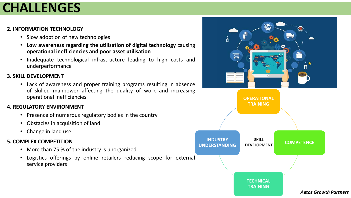## **CHALLENGES**

#### **2. INFORMATION TECHNOLOGY**

- Slow adoption of new technologies
- **Low awareness regarding the utilisation of digital technology** causing **operational inefficiencies and poor asset utilisation**
- Inadequate technological infrastructure leading to high costs and underperformance

#### **3. SKILL DEVELOPMENT**

• Lack of awareness and proper training programs resulting in absence of skilled manpower affecting the quality of work and increasing operational inefficiencies

#### **4. REGULATORY ENVIRONMENT**

- Presence of numerous regulatory bodies in the country
- Obstacles in acquisition of land
- Change in land use

#### **5. COMPLEX COMPETITION**

- More than 75 % of the industry is unorganized.
- Logistics offerings by online retailers reducing scope for external service providers

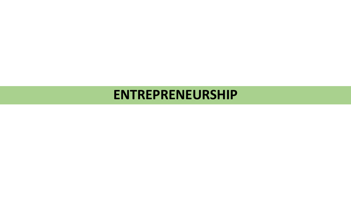### **ENTREPRENEURSHIP**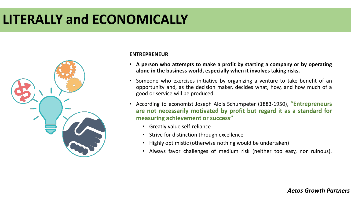# **LITERALLY and ECONOMICALLY**



#### **ENTREPRENEUR**

- **A person who attempts to make a profit by starting a company or by operating alone in the business world, especially when it involves taking risks.**
- Someone who exercises initiative by organizing a venture to take benefit of an opportunity and, as the decision maker, decides what, how, and how much of a good or service will be produced.
- According to economist Joseph Alois Schumpeter (1883-1950), "**Entrepreneurs are not necessarily motivated by profit but regard it as a standard for measuring achievement or success"**
	- Greatly value self-reliance
	- Strive for distinction through excellence
	- Highly optimistic (otherwise nothing would be undertaken)
	- Always favor challenges of medium risk (neither too easy, nor ruinous).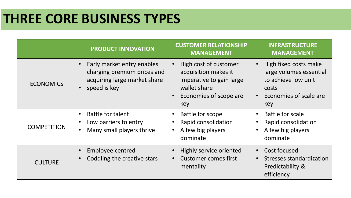# **THREE CORE BUSINESS TYPES**

|                    | <b>PRODUCT INNOVATION</b>                                                                                 | <b>CUSTOMER RELATIONSHIP</b><br><b>MANAGEMENT</b>                                                                          | <b>INFRASTRUCTURE</b><br><b>MANAGEMENT</b>                                                                        |
|--------------------|-----------------------------------------------------------------------------------------------------------|----------------------------------------------------------------------------------------------------------------------------|-------------------------------------------------------------------------------------------------------------------|
| <b>ECONOMICS</b>   | Early market entry enables<br>charging premium prices and<br>acquiring large market share<br>speed is key | High cost of customer<br>acquisition makes it<br>imperative to gain large<br>wallet share<br>Economies of scope are<br>key | High fixed costs make<br>large volumes essential<br>to achieve low unit<br>costs<br>Economies of scale are<br>key |
| <b>COMPETITION</b> | <b>Battle for talent</b><br>Low barriers to entry<br>Many small players thrive                            | <b>Battle for scope</b><br>Rapid consolidation<br>A few big players<br>dominate                                            | Battle for scale<br>Rapid consolidation<br>A few big players<br>dominate                                          |
| <b>CULTURE</b>     | Employee centred<br>Coddling the creative stars                                                           | Highly service oriented<br><b>Customer comes first</b><br>mentality                                                        | Cost focused<br>$\bullet$<br>Stresses standardization<br>Predictability &<br>efficiency                           |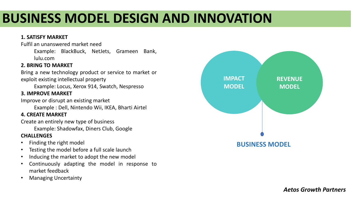# **BUSINESS MODEL DESIGN AND INNOVATION**

#### **1. SATISFY MARKET**

Fulfil an unanswered market need

Example: BlackBuck, NetJets, Grameen Bank, lulu.com

#### **2. BRING TO MARKET**

Bring a new technology product or service to market or exploit existing intellectual property

Example: Locus, Xerox 914, Swatch, Nespresso

#### **3. IMPROVE MARKET**

Improve or disrupt an existing market

Example : Dell, Nintendo Wii, IKEA, Bharti Airtel

#### **4. CREATE MARKET**

Create an entirely new type of business

Example: Shadowfax, Diners Club, Google

#### **CHALLENGES**

- Finding the right model
- Testing the model before a full scale launch
- Inducing the market to adopt the new model
- Continuously adapting the model in response to market feedback
- Managing Uncertainty

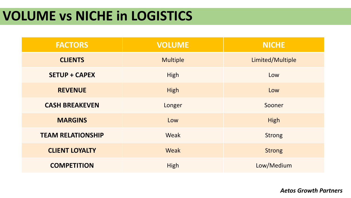### **VOLUME vs NICHE in LOGISTICS**

| <b>FACTORS</b>           | <b>VOLUME</b>   | <b>NICHE</b>     |
|--------------------------|-----------------|------------------|
| <b>CLIENTS</b>           | <b>Multiple</b> | Limited/Multiple |
| <b>SETUP + CAPEX</b>     | High            | Low              |
| <b>REVENUE</b>           | High            | Low              |
| <b>CASH BREAKEVEN</b>    | Longer          | Sooner           |
| <b>MARGINS</b>           | Low             | High             |
| <b>TEAM RELATIONSHIP</b> | Weak            | <b>Strong</b>    |
| <b>CLIENT LOYALTY</b>    | Weak            | <b>Strong</b>    |
| <b>COMPETITION</b>       | <b>High</b>     | Low/Medium       |